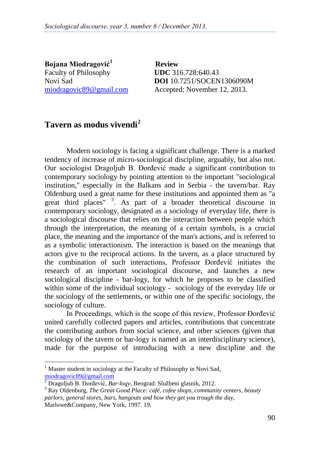**Bojana Miodragović[1](#page-0-0)** Faculty of Philosophy **UDC** 316.728:640.43

 **Review** Novi Sad **DOI** 10.7251/SOCEN1306090M miodragovic89@gmail.com Accepted: November 12, 2013.

## **Tavern as modus vivendi[2](#page-0-1)**

Modern sociology is facing a significant challenge. There is a marked tendency of increase of micro-sociological discipline, arguably, but also not. Our sociologist Dragoljub B. Đorđević made a significant contribution to contemporary sociology by pointing attention to the important "sociological institution," especially in the Balkans and in Serbia - the tavern/bar. Ray Oldenburg used a great name for these institutions and appointed them as "a great third places"<sup>[3](#page-0-2)</sup>. As part of a broader theoretical discourse in contemporary sociology, designated as a sociology of everyday life, there is a sociological discourse that relies on the interaction between people which through the interpretation, the meaning of a certain symbols, is a crucial place, the meaning and the importance of the man's actions, and is referred to as a symbolic interactionism. The interaction is based on the meanings that actors give to the reciprocal actions. In the tavern, as a place structured by the combination of such interactions, Professor Đorđević initiates the research of an important sociological discourse, and launches a new sociological discipline - bar-logy, for which he proposes to be classified within some of the individual sociology - sociology of the everyday life or the sociology of the settlements, or within one of the specific sociology, the sociology of culture.

In Proceedings, which is the scope of this review, Professor Đorđević united carefully collected papers and articles, contributions that concentrate the contributing authors from social science, and other sciences (given that sociology of the tavern or bar-logy is named as an interdisciplinary science), made for the purpose of introducing with a new discipline and the

<span id="page-0-0"></span>Master student in sociology at the Faculty of Philosophy in Novi Sad, miodragovic89@gmail.com<br><sup>2</sup> Dragoliub B. Đorđević, *Ba* 

<span id="page-0-1"></span><sup>&</sup>lt;sup>2</sup> Dragoljub B. Đorđević, *Bar-logy*, Beograd: Službeni glasnik, 2012.<br><sup>3</sup> Ray Oldenburg, *The Great Good Place: café, cofee shops, community centers, beauty* 

<span id="page-0-2"></span>*parlors, general stores, bars, hangouts and how they get you trough the day,*  Marlowe&Company, New York, 1997. 19.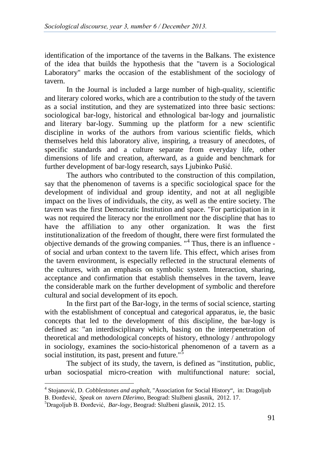identification of the importance of the taverns in the Balkans. The existence of the idea that builds the hypothesis that the "tavern is a Sociological Laboratory" marks the occasion of the establishment of the sociology of tavern.

In the Journal is included a large number of high-quality, scientific and literary colored works, which are a contribution to the study of the tavern as a social institution, and they are systematized into three basic sections: sociological bar-logy, historical and ethnological bar-logy and journalistic and literary bar-logy. Summing up the platform for a new scientific discipline in works of the authors from various scientific fields, which themselves held this laboratory alive, inspiring, a treasury of anecdotes, of specific standards and a culture separate from everyday life, other dimensions of life and creation, afterward, as a guide and benchmark for further development of bar-logy research, says Ljubinko Pušić.

The authors who contributed to the construction of this compilation, say that the phenomenon of taverns is a specific sociological space for the development of individual and group identity, and not at all negligible impact on the lives of individuals, the city, as well as the entire society. The tavern was the first Democratic Institution and space. "For participation in it was not required the literacy nor the enrollment nor the discipline that has to have the affiliation to any other organization. It was the first institutionalization of the freedom of thought, there were first formulated the objective demands of the growing companies.  $"$ <sup>[4](#page-1-0)</sup> Thus, there is an influence of social and urban context to the tavern life. This effect, which arises from the tavern environment, is especially reflected in the structural elements of the cultures, with an emphasis on symbolic system. Interaction, sharing, acceptance and confirmation that establish themselves in the tavern, leave the considerable mark on the further development of symbolic and therefore cultural and social development of its epoch.

In the first part of the Bar-logy, in the terms of social science, starting with the establishment of conceptual and categorical apparatus, ie, the basic concepts that led to the development of this discipline, the bar-logy is defined as: "an interdisciplinary which, basing on the interpenetration of theoretical and methodological concepts of history, ethnology / anthropology in sociology, examines the socio-historical phenomenon of a tavern as a social institution, its past, present and future."<sup>[5](#page-1-1)</sup>

The subject of its study, the tavern, is defined as "institution, public, urban sociospatial micro-creation with multifunctional nature: social,

<span id="page-1-0"></span> <sup>4</sup> Stojanović, D. *Cobblestones and asphalt,* "Association for Social History", in: Dragoljub B. Đorđević, *Speak on tavern Džerimo,* Beograd: Službeni glasnik, 2012. 17. <sup>5</sup>

<span id="page-1-1"></span>Dragoljub B. Đorđević, *Bar-logy*, Beograd: Službeni glasnik, 2012. 15.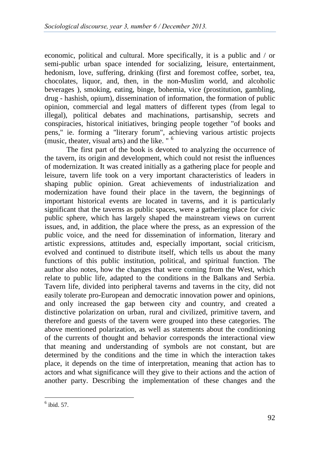economic, political and cultural. More specifically, it is a public and / or semi-public urban space intended for socializing, leisure, entertainment, hedonism, love, suffering, drinking (first and foremost coffee, sorbet, tea, chocolates, liquor, and, then, in the non-Muslim world, and alcoholic beverages ), smoking, eating, binge, bohemia, vice (prostitution, gambling, drug - hashish, opium), dissemination of information, the formation of public opinion, commercial and legal matters of different types (from legal to illegal), political debates and machinations, partisanship, secrets and conspiracies, historical initiatives, bringing people together "of books and pens," ie. forming a "literary forum", achieving various artistic projects (music, theater, visual arts) and the like. " [6](#page-2-0)

The first part of the book is devoted to analyzing the occurrence of the tavern, its origin and development, which could not resist the influences of modernization. It was created initially as a gathering place for people and leisure, tavern life took on a very important characteristics of leaders in shaping public opinion. Great achievements of industrialization and modernization have found their place in the tavern, the beginnings of important historical events are located in taverns, and it is particularly significant that the taverns as public spaces, were a gathering place for civic public sphere, which has largely shaped the mainstream views on current issues, and, in addition, the place where the press, as an expression of the public voice, and the need for dissemination of information, literary and artistic expressions, attitudes and, especially important, social criticism, evolved and continued to distribute itself, which tells us about the many functions of this public institution, political, and spiritual function. The author also notes, how the changes that were coming from the West, which relate to public life, adapted to the conditions in the Balkans and Serbia. Tavern life, divided into peripheral taverns and taverns in the city, did not easily tolerate pro-European and democratic innovation power and opinions, and only increased the gap between city and country, and created a distinctive polarization on urban, rural and civilized, primitive tavern, and therefore and guests of the tavern were grouped into these categories. The above mentioned polarization, as well as statements about the conditioning of the currents of thought and behavior corresponds the interactional view that meaning and understanding of symbols are not constant, but are determined by the conditions and the time in which the interaction takes place, it depends on the time of interpretation, meaning that action has to actors and what significance will they give to their actions and the action of another party. Describing the implementation of these changes and the

<span id="page-2-0"></span> $<sup>6</sup>$  ibid. 57.</sup>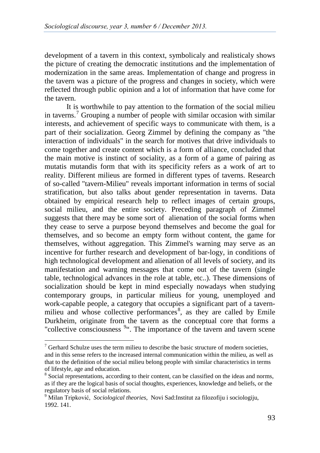development of a tavern in this context, symbolicaly and realisticaly shows the picture of creating the democratic institutions and the implementation of modernization in the same areas. Implementation of change and progress in the tavern was a picture of the progress and changes in society, which were reflected through public opinion and a lot of information that have come for the tavern.

It is worthwhile to pay attention to the formation of the social milieu in taverns.<sup>[7](#page-3-0)</sup> Grouping a number of people with similar occasion with similar interests, and achievement of specific ways to communicate with them, is a part of their socialization. Georg Zimmel by defining the company as "the interaction of individuals" in the search for motives that drive individuals to come together and create content which is a form of alliance, concluded that the main motive is instinct of sociality, as a form of a game of pairing as mutatis mutandis form that with its specificity refers as a work of art to reality. Different milieus are formed in different types of taverns. Research of so-called "tavern-Milieu" reveals important information in terms of social stratification, but also talks about gender representation in taverns. Data obtained by empirical research help to reflect images of certain groups, social milieu, and the entire society. Preceding paragraph of Zimmel suggests that there may be some sort of alienation of the social forms when they cease to serve a purpose beyond themselves and become the goal for themselves, and so become an empty form without content, the game for themselves, without aggregation. This Zimmel's warning may serve as an incentive for further research and development of bar-logy, in conditions of high technological development and alienation of all levels of society, and its manifestation and warning messages that come out of the tavern (single table, technological advances in the role at table, etc..). These dimensions of socialization should be kept in mind especially nowadays when studying contemporary groups, in particular milieus for young, unemployed and work-capable people, a category that occupies a significant part of a tavern-milieu and whose collective performances<sup>[8](#page-3-0)</sup>, as they are called by Emile Durkheim, originate from the tavern as the conceptual core that forms a "collective consciousness <sup>[9](#page-3-0)"</sup>. The importance of the tavern and tavern scene

<span id="page-3-0"></span> $\sigma$ <sup>7</sup> Gerhard Schulze uses the term milieu to describe the basic structure of modern societies, and in this sense refers to the increased internal communication within the milieu, as well as that to the definition of the social milieu belong people with similar characteristics in terms of lifestyle, age and education.

<sup>&</sup>lt;sup>8</sup> Social representations, according to their content, can be classified on the ideas and norms, as if they are the logical basis of social thoughts, experiences, knowledge and beliefs, or the regulatory basis of social relations.<br><sup>9</sup> Milan Tripković, *Sociological theories*, Novi Sad:Institut za filozofiju i sociologiju,

<sup>1992. 141.</sup>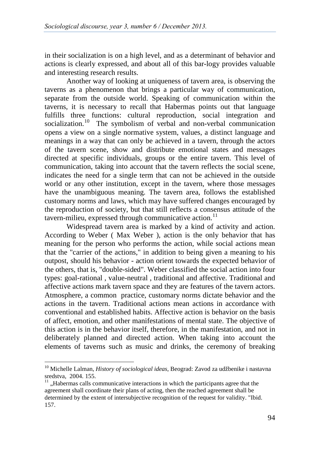in their socialization is on a high level, and as a determinant of behavior and actions is clearly expressed, and about all of this bar-logy provides valuable and interesting research results.

Another way of looking at uniqueness of tavern area, is observing the taverns as a phenomenon that brings a particular way of communication, separate from the outside world. Speaking of communication within the taverns, it is necessary to recall that Habermas points out that language fulfills three functions: cultural reproduction, social integration and socialization.<sup>[10](#page-4-0)</sup> The symbolism of verbal and non-verbal communication opens a view on a single normative system, values, a distinct language and meanings in a way that can only be achieved in a tavern, through the actors of the tavern scene, show and distribute emotional states and messages directed at specific individuals, groups or the entire tavern. This level of communication, taking into account that the tavern reflects the social scene, indicates the need for a single term that can not be achieved in the outside world or any other institution, except in the tavern, where those messages have the unambiguous meaning. The tavern area, follows the established customary norms and laws, which may have suffered changes encouraged by the reproduction of society, but that still reflects a consensus attitude of the tavern-milieu, expressed through communicative action. $^{11}$  $^{11}$  $^{11}$ 

Widespread tavern area is marked by a kind of activity and action. According to Weber ( Max Weber ), action is the only behavior that has meaning for the person who performs the action, while social actions mean that the "carrier of the actions," in addition to being given a meaning to his outpost, should his behavior - action orient towards the expected behavior of the others, that is, "double-sided". Weber classified the social action into four types: goal-rational , value-neutral , traditional and affective. Traditional and affective actions mark tavern space and they are features of the tavern actors. Atmosphere, a common practice, customary norms dictate behavior and the actions in the tavern. Traditional actions mean actions in accordance with conventional and established habits. Affective action is behavior on the basis of affect, emotion, and other manifestations of mental state. The objective of this action is in the behavior itself, therefore, in the manifestation, and not in deliberately planned and directed action. When taking into account the elements of taverns such as music and drinks, the ceremony of breaking

<span id="page-4-0"></span> <sup>10</sup> Michelle Lalman, *History of sociological ideas*, Beograd: Zavod za udžbenike i nastavna sredstva, 2004. 155.<br><sup>11</sup> "Habermas calls communicative interactions in which the participants agree that the

agreement shall coordinate their plans of acting, then the reached agreement shall be determined by the extent of intersubjective recognition of the request for validity. "Ibid. 157.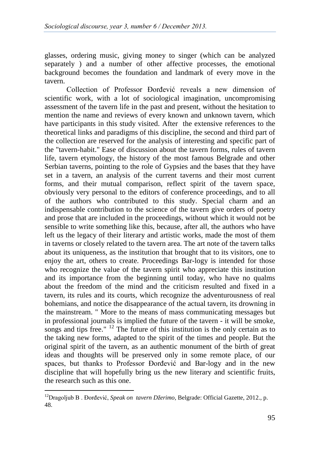glasses, ordering music, giving money to singer (which can be analyzed separately ) and a number of other affective processes, the emotional background becomes the foundation and landmark of every move in the tavern.

Collection of Professor Đorđević reveals a new dimension of scientific work, with a lot of sociological imagination, uncompromising assessment of the tavern life in the past and present, without the hesitation to mention the name and reviews of every known and unknown tavern, which have participants in this study visited. After the extensive references to the theoretical links and paradigms of this discipline, the second and third part of the collection are reserved for the analysis of interesting and specific part of the "tavern-habit." Ease of discussion about the tavern forms, rules of tavern life, tavern etymology, the history of the most famous Belgrade and other Serbian taverns, pointing to the role of Gypsies and the bases that they have set in a tavern, an analysis of the current taverns and their most current forms, and their mutual comparison, reflect spirit of the tavern space, obviously very personal to the editors of conference proceedings, and to all of the authors who contributed to this study. Special charm and an indispensable contribution to the science of the tavern give orders of poetry and prose that are included in the proceedings, without which it would not be sensible to write something like this, because, after all, the authors who have left us the legacy of their literary and artistic works, made the most of them in taverns or closely related to the tavern area. The art note of the tavern talks about its uniqueness, as the institution that brought that to its visitors, one to enjoy the art, others to create. Proceedings Bar-logy is intended for those who recognize the value of the tavern spirit who appreciate this institution and its importance from the beginning until today, who have no qualms about the freedom of the mind and the criticism resulted and fixed in a tavern, its rules and its courts, which recognize the adventurousness of real bohemians, and notice the disappearance of the actual tavern, its drowning in the mainstream. " More to the means of mass communicating messages but in professional journals is implied the future of the tavern - it will be smoke, songs and tips free."  $^{12}$  $^{12}$  $^{12}$  The future of this institution is the only certain as to the taking new forms, adapted to the spirit of the times and people. But the original spirit of the tavern, as an authentic monument of the birth of great ideas and thoughts will be preserved only in some remote place, of our spaces, but thanks to Professor Đorđević and Bar-logy and in the new discipline that will hopefully bring us the new literary and scientific fruits, the research such as this one.

<span id="page-5-0"></span> <sup>12</sup>Dragoljub B . Đorđević, *Speak on tavern Džerimo,* Belgrade: Official Gazette, 2012., p. 48.